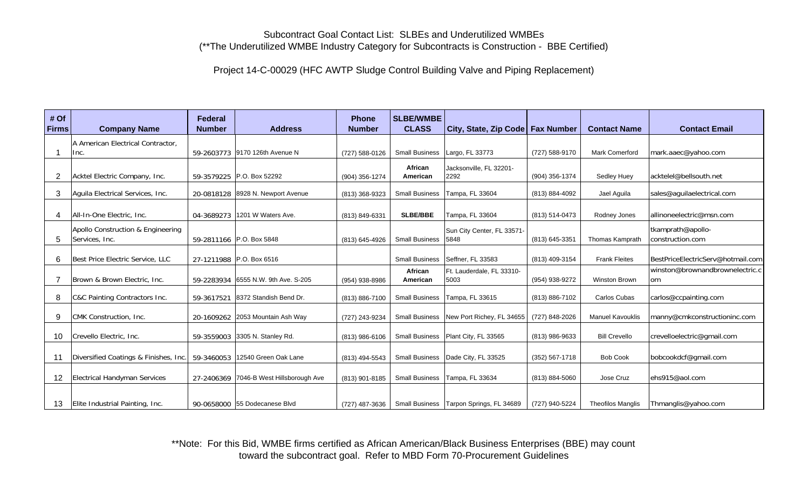## Subcontract Goal Contact List: SLBEs and Underutilized WMBEs (\*\*The Underutilized WMBE Industry Category for Subcontracts is Construction - BBE Certified)

Project 14-C-00029 (HFC AWTP Sludge Control Building Valve and Piping Replacement)

| # Of<br><b>Firms</b> | <b>Company Name</b>                                 | <b>Federal</b><br><b>Number</b> | <b>Address</b>                          | <b>Phone</b><br><b>Number</b> | <b>SLBE/WMBE</b><br><b>CLASS</b> | City, State, Zip Code   Fax Number        |                    | <b>Contact Name</b>      | <b>Contact Email</b>                   |
|----------------------|-----------------------------------------------------|---------------------------------|-----------------------------------------|-------------------------------|----------------------------------|-------------------------------------------|--------------------|--------------------------|----------------------------------------|
|                      | A American Electrical Contractor,<br>Inc.           |                                 | 59-2603773 9170 126th Avenue N          | (727) 588-0126                | <b>Small Business</b>            | Largo, FL 33773                           | (727) 588-9170     | <b>Mark Comerford</b>    | mark.aaec@yahoo.com                    |
| 2                    | Acktel Electric Company, Inc.                       |                                 | 59-3579225 P.O. Box 52292               | (904) 356-1274                | African<br>American              | Jacksonville, FL 32201-<br>2292           | (904) 356-1374     | Sedley Huey              | acktelel@bellsouth.net                 |
| 3                    | Aguila Electrical Services, Inc.                    |                                 | 20-0818128 8928 N. Newport Avenue       | (813) 368-9323                | <b>Small Business</b>            | Tampa, FL 33604                           | (813) 884-4092     | Jael Aguila              | sales@aquilaelectrical.com             |
| $\overline{4}$       | All-In-One Electric, Inc.                           |                                 | 04-3689273 1201 W Waters Ave.           | (813) 849-6331                | <b>SLBE/BBE</b>                  | Tampa, FL 33604                           | (813) 514-0473     | Rodney Jones             | allinoneelectric@msn.com               |
| 5                    | Apollo Construction & Engineering<br>Services, Inc. |                                 | 59-2811166 P.O. Box 5848                | (813) 645-4926                | <b>Small Business</b>            | Sun City Center, FL 33571-<br>5848        | (813) 645-3351     | <b>Thomas Kamprath</b>   | tkamprath@apollo-<br>construction.com  |
| 6                    | Best Price Electric Service, LLC                    |                                 | 27-1211988 P.O. Box 6516                |                               | <b>Small Business</b>            | Seffner, FL 33583                         | (813) 409-3154     | <b>Frank Fleites</b>     | BestPriceElectricServ@hotmail.com      |
| 7                    | Brown & Brown Electric, Inc.                        | 59-2283934                      | 6555 N.W. 9th Ave. S-205                | (954) 938-8986                | African<br>American              | Ft. Lauderdale, FL 33310-<br>5003         | (954) 938-9272     | Winston Brown            | winston@brownandbrownelectric.c<br>lom |
| 8                    | C&C Painting Contractors Inc.                       | 59-3617521                      | 8372 Standish Bend Dr.                  | (813) 886-7100                | <b>Small Business</b>            | Tampa, FL 33615                           | (813) 886-7102     | Carlos Cubas             | carlos@ccpainting.com                  |
| 9                    | CMK Construction, Inc.                              |                                 | 20-1609262 2053 Mountain Ash Way        | (727) 243-9234                | <b>Small Business</b>            | New Port Richey, FL 34655                 | (727) 848-2026     | <b>Manuel Kavouklis</b>  | manny@cmkconstructioninc.com           |
| 10                   | Crevello Electric, Inc.                             |                                 | 59-3559003 3305 N. Stanley Rd.          | (813) 986-6106                | <b>Small Business</b>            | Plant City, FL 33565                      | (813) 986-9633     | <b>Bill Crevello</b>     | crevelloelectric@gmail.com             |
| 11                   | Diversified Coatings & Finishes, Inc.               |                                 | 59-3460053 12540 Green Oak Lane         | (813) 494-5543                | <b>Small Business</b>            | Dade City, FL 33525                       | $(352) 567 - 1718$ | <b>Bob Cook</b>          | bobcookdcf@gmail.com                   |
| 12                   | <b>Electrical Handyman Services</b>                 |                                 | 27-2406369 7046-B West Hillsborough Ave | (813) 901-8185                | <b>Small Business</b>            | Tampa, FL 33634                           | (813) 884-5060     | Jose Cruz                | ehs915@aol.com                         |
| 13                   | Elite Industrial Painting, Inc.                     |                                 | 90-0658000 55 Dodecanese Blvd           | (727) 487-3636                |                                  | Small Business   Tarpon Springs, FL 34689 | (727) 940-5224     | <b>Theofilos Manglis</b> | Thmanglis@yahoo.com                    |

\*\*Note: For this Bid, WMBE firms certified as African American/Black Business Enterprises (BBE) may count toward the subcontract goal. Refer to MBD Form 70-Procurement Guidelines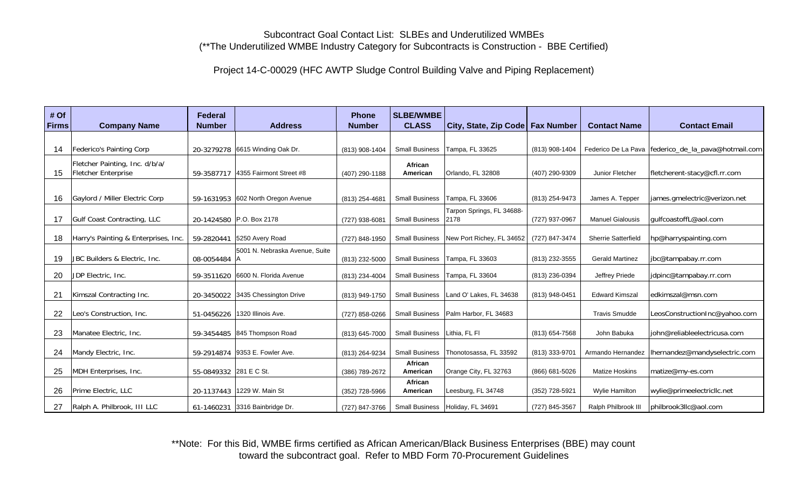## Subcontract Goal Contact List: SLBEs and Underutilized WMBEs (\*\*The Underutilized WMBE Industry Category for Subcontracts is Construction - BBE Certified)

Project 14-C-00029 (HFC AWTP Sludge Control Building Valve and Piping Replacement)

| # Of<br><b>Firms</b> | <b>Company Name</b>                                   | <b>Federal</b><br><b>Number</b> | <b>Address</b>                     | <b>Phone</b><br><b>Number</b> | <b>SLBE/WMBE</b><br><b>CLASS</b> | City, State, Zip Code   Fax Number |                | <b>Contact Name</b>        | <b>Contact Email</b>                                  |
|----------------------|-------------------------------------------------------|---------------------------------|------------------------------------|-------------------------------|----------------------------------|------------------------------------|----------------|----------------------------|-------------------------------------------------------|
|                      |                                                       |                                 |                                    |                               |                                  |                                    |                |                            |                                                       |
| 14                   | Federico's Painting Corp                              |                                 | 20-3279278 6615 Winding Oak Dr.    | (813) 908-1404                | <b>Small Business</b>            | Tampa, FL 33625                    | (813) 908-1404 |                            | Federico De La Pava   federico_de_la_pava@hotmail.com |
| 15                   | Fletcher Painting, Inc. d/b/a/<br>Fletcher Enterprise | 59-3587717                      | 4355 Fairmont Street #8            | (407) 290-1188                | African<br>American              | Orlando, FL 32808                  | (407) 290-9309 | Junior Fletcher            | fletcherent-stacy@cfl.rr.com                          |
|                      |                                                       |                                 |                                    |                               |                                  |                                    |                |                            |                                                       |
| 16                   | Gaylord / Miller Electric Corp                        |                                 | 59-1631953 602 North Oregon Avenue | (813) 254-4681                | <b>Small Business</b>            | Tampa, FL 33606                    | (813) 254-9473 | James A. Tepper            | james.gmelectric@verizon.net                          |
| 17                   | Gulf Coast Contracting, LLC                           |                                 | 20-1424580 P.O. Box 2178           | (727) 938-6081                | <b>Small Business</b>            | Tarpon Springs, FL 34688-<br>2178  | (727) 937-0967 | <b>Manuel Gialousis</b>    | gulfcoastoffL@aol.com                                 |
| 18                   | Harry's Painting & Enterprises, Inc.                  | 59-2820441                      | 5250 Avery Road                    | (727) 848-1950                | <b>Small Business</b>            | New Port Richey, FL 34652          | (727) 847-3474 | <b>Sherrie Satterfield</b> | hp@harryspainting.com                                 |
| 19                   | JBC Builders & Electric, Inc.                         | 08-0054484 A                    | 5001 N. Nebraska Avenue, Suite     | (813) 232-5000                | <b>Small Business</b>            | Tampa, FL 33603                    | (813) 232-3555 | <b>Gerald Martinez</b>     | jbc@tampabay.rr.com                                   |
| 20                   | JDP Electric, Inc.                                    |                                 | 59-3511620 6600 N. Florida Avenue  | (813) 234-4004                | Small Business                   | Tampa, FL 33604                    | (813) 236-0394 | Jeffrey Priede             | jdpinc@tampabay.rr.com                                |
| 21                   | Kimszal Contracting Inc.                              |                                 | 20-3450022 3435 Chessington Drive  | (813) 949-1750                | <b>Small Business</b>            | Land O' Lakes, FL 34638            | (813) 948-0451 | <b>Edward Kimszal</b>      | ledkimszal@msn.com                                    |
| 22                   | Leo's Construction, Inc.                              |                                 | 51-0456226 1320 Illinois Ave.      | (727) 858-0266                | <b>Small Business</b>            | Palm Harbor, FL 34683              |                | <b>Travis Smudde</b>       | LeosConstructionInc@yahoo.com                         |
| 23                   | Manatee Electric, Inc.                                |                                 | 59-3454485 845 Thompson Road       | (813) 645-7000                | <b>Small Business</b>            | Lithia, FL FI                      | (813) 654-7568 | John Babuka                | john@reliableelectricusa.com                          |
| 24                   | Mandy Electric, Inc.                                  | 59-2914874                      | 9353 E. Fowler Ave.                | (813) 264-9234                | Small Business                   | Thonotosassa, FL 33592             | (813) 333-9701 |                            | Armando Hernandez   Ihernandez@mandyselectric.com     |
| 25                   | MDH Enterprises, Inc.                                 | 55-0849332 281 E C St.          |                                    | (386) 789-2672                | African<br>American              | Orange City, FL 32763              | (866) 681-5026 | <b>Matize Hoskins</b>      | matize@my-es.com                                      |
| 26                   | Prime Electric, LLC                                   |                                 | 20-1137443 1229 W. Main St         | (352) 728-5966                | African<br>American              | Leesburg, FL 34748                 | (352) 728-5921 | <b>Wylie Hamilton</b>      | wylie@primeelectricllc.net                            |
| 27                   | Ralph A. Philbrook, III LLC                           |                                 | 61-1460231 3316 Bainbridge Dr.     | (727) 847-3766                | <b>Small Business</b>            | Holiday, FL 34691                  | (727) 845-3567 | Ralph Philbrook III        | philbrook3llc@aol.com                                 |

\*\*Note: For this Bid, WMBE firms certified as African American/Black Business Enterprises (BBE) may count toward the subcontract goal. Refer to MBD Form 70-Procurement Guidelines